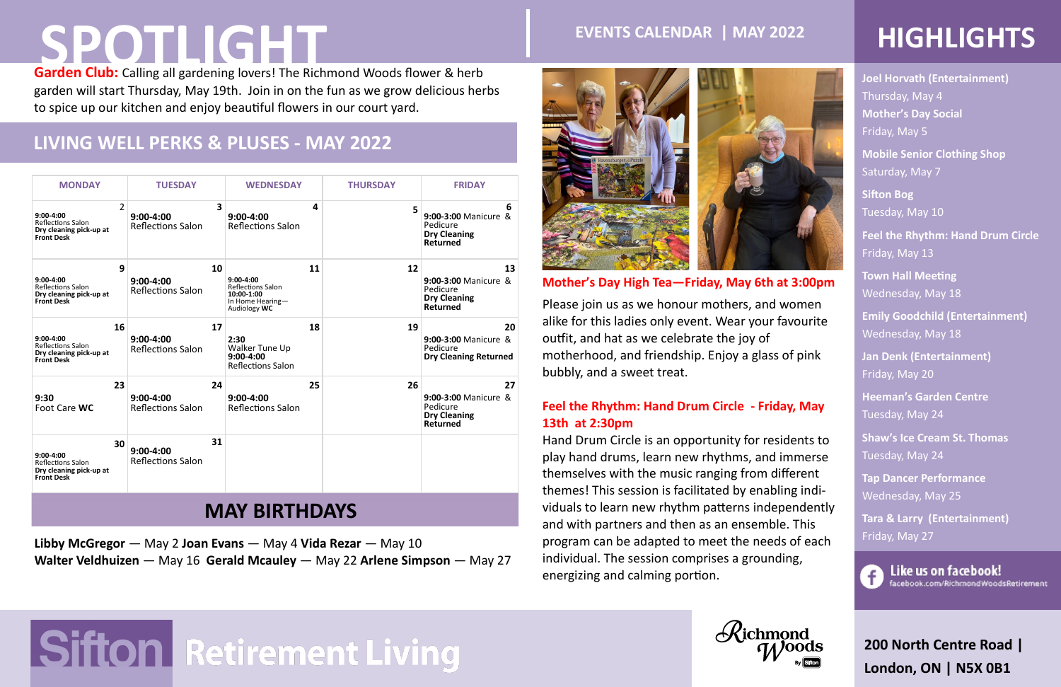### **200 North Centre Road | London, ON | N5X 0B1**

### **LIVING WELL PERKS & PLUSES - MAY 2022**

# **SPOTLIGHT**

**Libby McGregor** — May 2 **Joan Evans** — May 4 **Vida Rezar** — May 10 **Walter Veldhuizen** — May 16 **Gerald Mcauley** — May 22 **Arlene Simpson** — May 27



**Joel Horvath (Entertainment)**  Thursday, May 4 **Mother's Day Social**  Friday, May 5

**Mobile Senior Clothing Shop** Saturday, May 7

**Sifton Bog**  Tuesday, May 10

**Feel the Rhythm: Hand Drum Circle**  Friday, May 13

**Town Hall Meeting** Wednesday, May 18

**Garden Club:** Calling all gardening lovers! The Richmond Woods flower & herb garden will start Thursday, May 19th. Join in on the fun as we grow delicious herbs to spice up our kitchen and enjoy beautiful flowers in our court yard.

> **Emily Goodchild (Entertainment)**  Wednesday, May 18

**Jan Denk (Entertainment)**  Friday, May 20

**Heeman's Garden Centre**  Tuesday, May 24

**Shaw's Ice Cream St. Thomas**  Tuesday, May 24

**Tap Dancer Performance**  Wednesday, May 25

**Tara & Larry (Entertainment)**  Friday, May 27



Like us on facebook! facebook.com/RichmondWoodsRetirement

| <b>MONDAY</b>                                                                                             | <b>TUESDAY</b>                            |    | <b>WEDNESDAY</b>                                                                          |    | <b>THURSDAY</b> | <b>FRIDAY</b>                                                                    |  |  |  |  |
|-----------------------------------------------------------------------------------------------------------|-------------------------------------------|----|-------------------------------------------------------------------------------------------|----|-----------------|----------------------------------------------------------------------------------|--|--|--|--|
| $\overline{2}$<br>$9:00-4:00$<br><b>Reflections Salon</b><br>Dry cleaning pick-up at<br><b>Front Desk</b> | $9:00-4:00$<br><b>Reflections Salon</b>   | 3  | $9:00 - 4:00$<br><b>Reflections Salon</b>                                                 | 4  | 5               | 6<br>9:00-3:00 Manicure &<br>Pedicure<br><b>Dry Cleaning</b><br><b>Returned</b>  |  |  |  |  |
| 9<br>$9:00-4:00$<br>Reflections Salon<br>Dry cleaning pick-up at<br><b>Front Desk</b>                     | $9:00 - 4:00$<br><b>Reflections Salon</b> | 10 | $9:00-4:00$<br><b>Reflections Salon</b><br>10:00-1:00<br>In Home Hearing-<br>Audiology WC | 11 | 12              | 13<br>9:00-3:00 Manicure &<br>Pedicure<br><b>Dry Cleaning</b><br><b>Returned</b> |  |  |  |  |
| 16<br>$9:00-4:00$<br><b>Reflections Salon</b><br>Dry cleaning pick-up at<br><b>Front Desk</b>             | $9:00-4:00$<br><b>Reflections Salon</b>   | 17 | 2:30<br>Walker Tune Up<br>$9:00-4:00$<br><b>Reflections Salon</b>                         | 18 | 19              | 20<br>9:00-3:00 Manicure &<br>Pedicure<br><b>Dry Cleaning Returned</b>           |  |  |  |  |
| 23<br>9:30<br>Foot Care WC                                                                                | $9:00-4:00$<br><b>Reflections Salon</b>   | 24 | $9:00 - 4:00$<br><b>Reflections Salon</b>                                                 | 25 | 26              | 27<br>9:00-3:00 Manicure &<br>Pedicure<br><b>Dry Cleaning</b><br><b>Returned</b> |  |  |  |  |
| 30<br>$9:00-4:00$<br><b>Reflections Salon</b><br>Dry cleaning pick-up at<br><b>Front Desk</b>             | $9:00-4:00$<br><b>Reflections Salon</b>   | 31 |                                                                                           |    |                 |                                                                                  |  |  |  |  |
| <b>MAY BIRTHDAYS</b>                                                                                      |                                           |    |                                                                                           |    |                 |                                                                                  |  |  |  |  |

### **Mother's Day High Tea—Friday, May 6th at 3:00pm**

Please join us as we honour mothers, and women alike for this ladies only event. Wear your favourite outfit, and hat as we celebrate the joy of motherhood, and friendship. Enjoy a glass of pink bubbly, and a sweet treat.

### **Feel the Rhythm: Hand Drum Circle - Friday, May 13th at 2:30pm**

Hand Drum Circle is an opportunity for residents to play hand drums, learn new rhythms, and immerse themselves with the music ranging from different themes! This session is facilitated by enabling individuals to learn new rhythm patterns independently and with partners and then as an ensemble. This program can be adapted to meet the needs of each individual. The session comprises a grounding, energizing and calming portion.

## $\mathcal{R}$ ichmond

# Sifton Retirement Living



## **EVENTS CALENDAR | MAY 2022 HIGHLIGHTS**